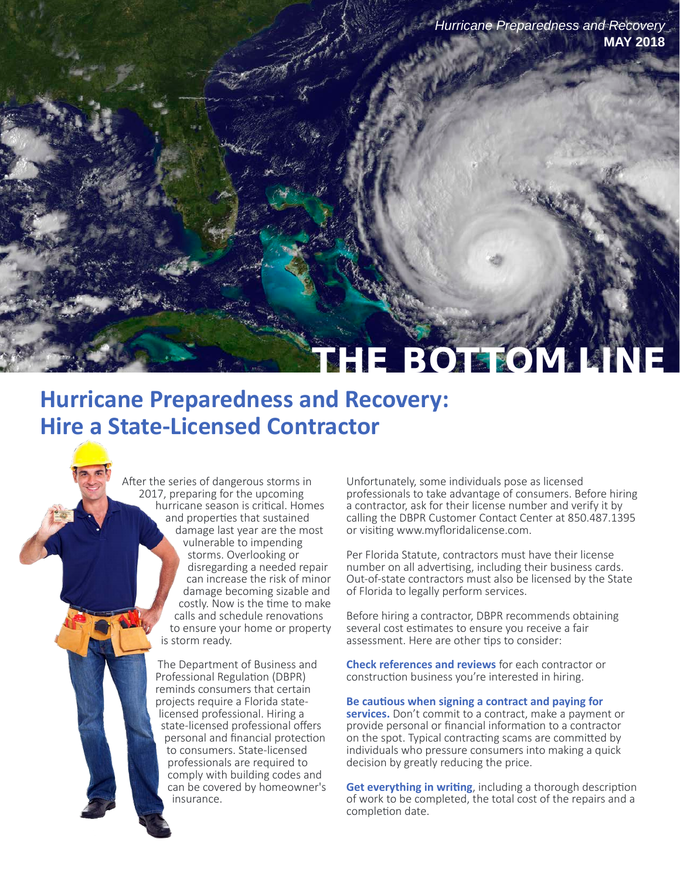*Hurricane Preparedness and Recovery*  **MAY 2018** 

# **HE BOTTOM.**

## **Hurricane Preparedness and Recovery: Hire a State-Licensed Contractor**

After the series of dangerous storms in 2017, preparing for the upcoming hurricane season is critical. Homes and properties that sustained damage last year are the most damage becoming sizable and costly. Now is the time to make calls and schedule renovations to ensure your home or property is storm ready. vulnerable to impending storms. Overlooking or disregarding a needed repair can increase the risk of minor

> insurance. professionals are required to comply with building codes and can be covered by homeowner's state-licensed professional offers personal and financial protection to consumers. State-licensed licensed professional. Hiring a The Department of Business and Professional Regulation (DBPR) reminds consumers that certain projects require a Florida state

Unfortunately, some individuals pose as licensed professionals to take advantage of consumers. Before hiring a contractor, ask for their license number and verify it by calling the DBPR Customer Contact Center at 850.487.1395 or visiting [www.myfloridalicense.com.](http://www.myfloridalicense.com/dbpr/) 

Per Florida Statute, contractors must have their license number on all advertising, including their business cards. Out-of-state contractors must also be licensed by the State of Florida to legally perform services.

Before hiring a contractor, DBPR recommends obtaining several cost estimates to ensure you receive a fair assessment. Here are other tips to consider:

**Check references and reviews** for each contractor or construction business you're interested in hiring.

**Be cautious when signing a contract and paying for** 

**services.** Don't commit to a contract, make a payment or provide personal or financial information to a contractor on the spot. Typical contracting scams are committed by individuals who pressure consumers into making a quick decision by greatly reducing the price.

**Get everything in writing**, including a thorough description of work to be completed, the total cost of the repairs and a completion date.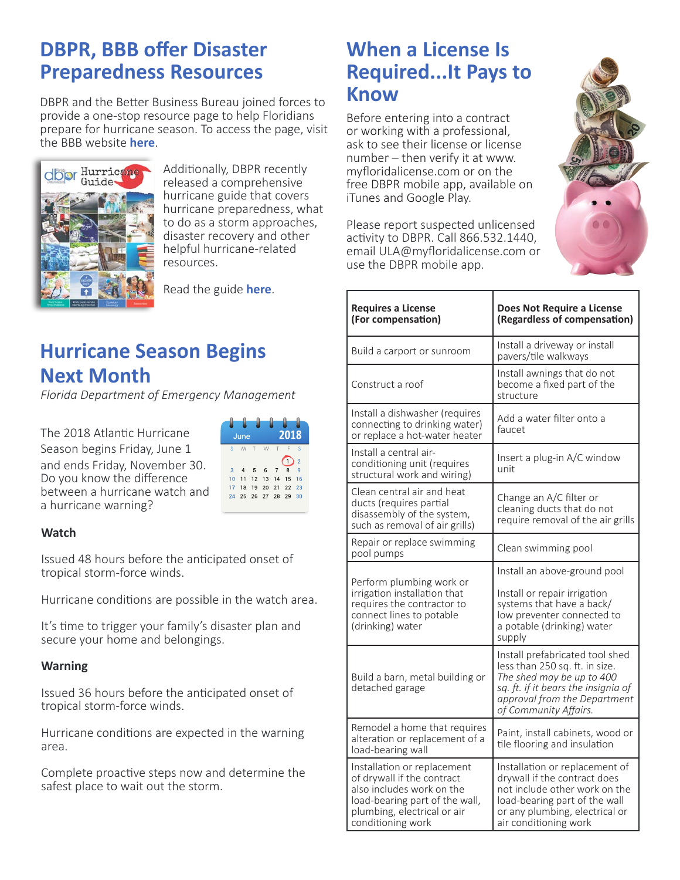### **DBPR, BBB offer Disaster Preparedness Resources**

DBPR and the Better Business Bureau joined forces to provide a one-stop resource page to help Floridians prepare for hurricane season. To access the page, visit the BBB website **[here](https://www.bbb.org/florida-hurricane-guide/)**.



Additionally, DBPR recently released a comprehensive hurricane guide that covers hurricane preparedness, what to do as a storm approaches, disaster recovery and other helpful hurricane-related resources.

Read the guide **[here](http://www.myfloridalicense.com/dbpr/documents/HurricaneGuide_web.pdf)**.

### **Hurricane Season Begins Next Month**

*Florida Department of Emergency Management*

The 2018 Atlantic Hurricane Season begins Friday, June 1 and ends Friday, November 30. Do you know the difference between a hurricane watch and a hurricane warning?



#### **Watch**

Issued 48 hours before the anticipated onset of tropical storm-force winds.

Hurricane conditions are possible in the watch area.

It's time to trigger your family's disaster plan and secure your home and belongings.

#### **Warning**

Issued 36 hours before the anticipated onset of tropical storm-force winds.

Hurricane conditions are expected in the warning area.

Complete proactive steps now and determine the safest place to wait out the storm.

### **When a License Is Required...It Pays to Know**

Before entering into a contract or working with a professional, ask to see their license or license number – then verify it at [www.](http://www.myfloridalicense.com/dbpr/) [myfloridalicense.com o](http://www.myfloridalicense.com/dbpr/)r on the free DBPR mobile app, available on iTunes and Google Play.

Please report suspected unlicensed activity to DBPR. Call 866.532.1440, email [ULA@myfloridalicense.com o](mailto:ULA@myfloridalicense.com)r use the DBPR mobile app.

| <b>Requires a License</b><br>(For compensation)                                                                                                                              | <b>Does Not Require a License</b><br>(Regardless of compensation)                                                                                                                              |
|------------------------------------------------------------------------------------------------------------------------------------------------------------------------------|------------------------------------------------------------------------------------------------------------------------------------------------------------------------------------------------|
| Build a carport or sunroom                                                                                                                                                   | Install a driveway or install<br>pavers/tile walkways                                                                                                                                          |
| Construct a roof                                                                                                                                                             | Install awnings that do not<br>become a fixed part of the<br>structure                                                                                                                         |
| Install a dishwasher (requires<br>connecting to drinking water)<br>or replace a hot-water heater                                                                             | Add a water filter onto a<br>faucet                                                                                                                                                            |
| Install a central air-<br>conditioning unit (requires<br>structural work and wiring)                                                                                         | Insert a plug-in A/C window<br>unit                                                                                                                                                            |
| Clean central air and heat<br>ducts (requires partial<br>disassembly of the system,<br>such as removal of air grills)                                                        | Change an A/C filter or<br>cleaning ducts that do not<br>require removal of the air grills                                                                                                     |
| Repair or replace swimming<br>pool pumps                                                                                                                                     | Clean swimming pool                                                                                                                                                                            |
| Perform plumbing work or<br>irrigation installation that<br>requires the contractor to<br>connect lines to potable<br>(drinking) water                                       | Install an above-ground pool<br>Install or repair irrigation<br>systems that have a back/<br>low preventer connected to<br>a potable (drinking) water<br>supply                                |
| Build a barn, metal building or<br>detached garage                                                                                                                           | Install prefabricated tool shed<br>less than 250 sq. ft. in size.<br>The shed may be up to 400<br>sq. ft. if it bears the insignia of<br>approval from the Department<br>of Community Affairs. |
| Remodel a home that requires<br>alteration or replacement of a<br>load-bearing wall                                                                                          | Paint, install cabinets, wood or<br>tile flooring and insulation                                                                                                                               |
| Installation or replacement<br>of drywall if the contract<br>also includes work on the<br>load-bearing part of the wall,<br>plumbing, electrical or air<br>conditioning work | Installation or replacement of<br>drywall if the contract does<br>not include other work on the<br>load-bearing part of the wall<br>or any plumbing, electrical or<br>air conditioning work    |